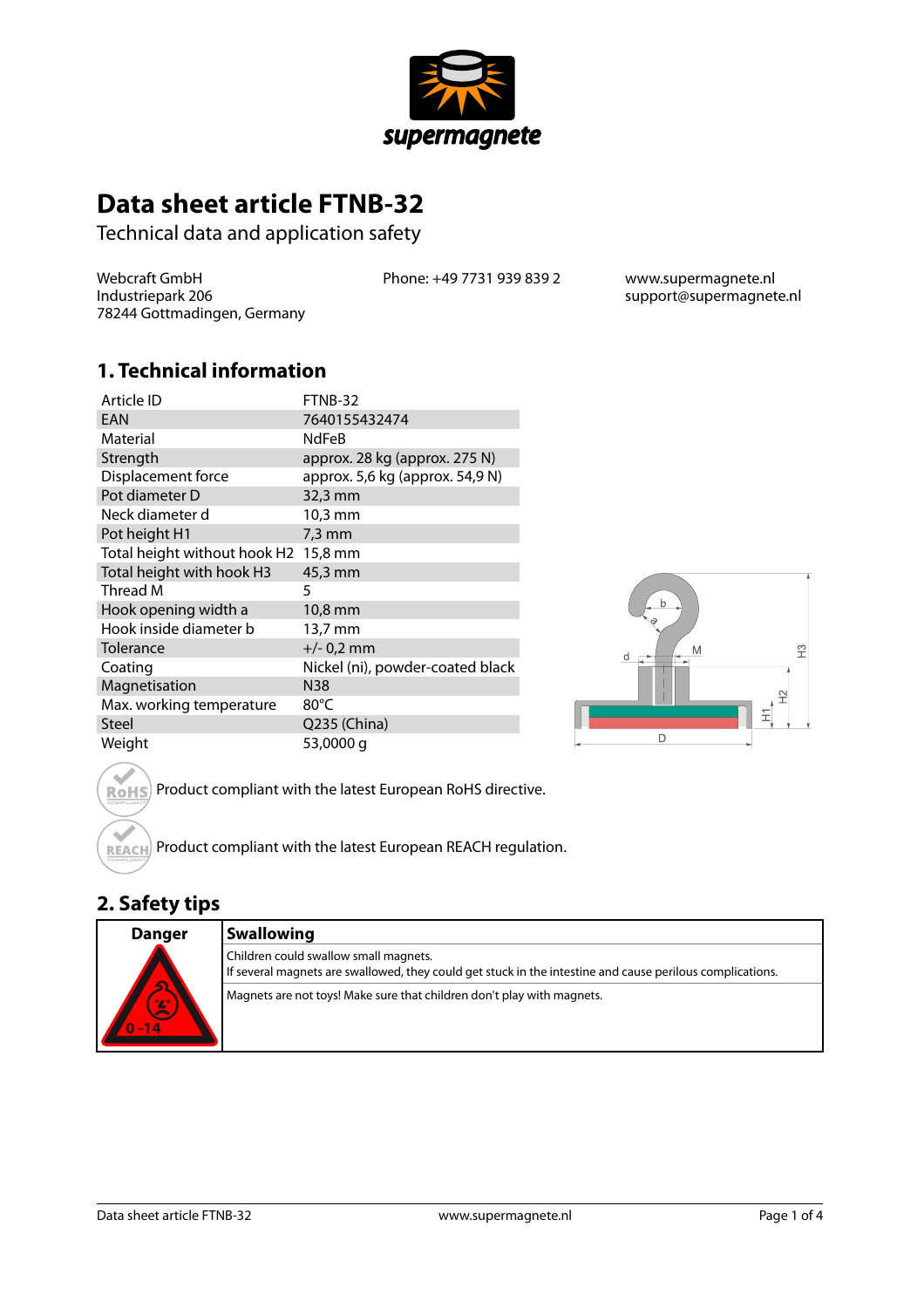

# **Data sheet article FTNB-32**

Technical data and application safety

Webcraft GmbH Industriepark 206 78244 Gottmadingen, Germany Phone: +49 7731 939 839 2 www.supermagnete.nl

support@supermagnete.nl

### **1. Technical information**

| Article ID                   | FTNB-32                          |
|------------------------------|----------------------------------|
| EAN                          | 7640155432474                    |
| Material                     | <b>NdFeB</b>                     |
| Strength                     | approx. 28 kg (approx. 275 N)    |
| Displacement force           | approx. 5,6 kg (approx. 54,9 N)  |
| Pot diameter D               | 32,3 mm                          |
| Neck diameter d              | 10,3 mm                          |
| Pot height H1                | $7.3 \text{ mm}$                 |
| Total height without hook H2 | 15,8 mm                          |
| Total height with hook H3    | 45,3 mm                          |
| Thread M                     | 5                                |
| Hook opening width a         | 10,8 mm                          |
| Hook inside diameter b       | 13,7 mm                          |
| Tolerance                    | $+/- 0.2$ mm                     |
| Coating                      | Nickel (ni), powder-coated black |
| Magnetisation                | N38                              |
| Max. working temperature     | 80°C                             |
| Steel                        | Q235 (China)                     |
| Weight                       | 53,0000 g                        |



Product compliant with the latest European RoHS directive. **RoHS** 

Product compliant with the latest European REACH regulation. **REACH** 

# **2. Safety tips**

| Danger                                  | <b>Swallowing</b>                                                                                                                                  |
|-----------------------------------------|----------------------------------------------------------------------------------------------------------------------------------------------------|
| $\overline{\mathbf{S}}$<br>0/2<br>$-14$ | Children could swallow small magnets.<br>If several magnets are swallowed, they could get stuck in the intestine and cause perilous complications. |
|                                         | Magnets are not toys! Make sure that children don't play with magnets.                                                                             |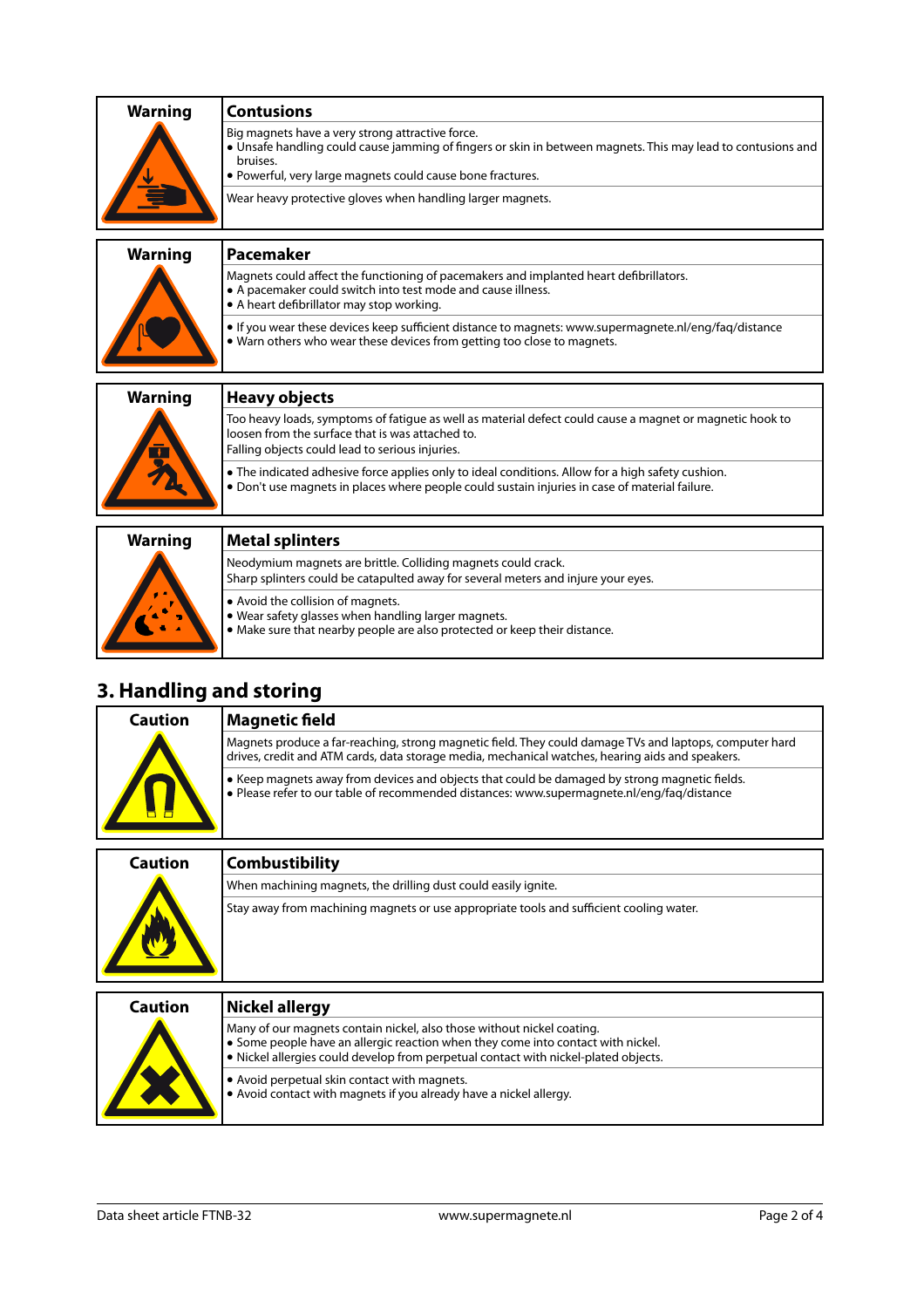| <b>Warning</b> | <b>Contusions</b>                                                                                                                                                                                                                          |
|----------------|--------------------------------------------------------------------------------------------------------------------------------------------------------------------------------------------------------------------------------------------|
|                | Big magnets have a very strong attractive force.<br>• Unsafe handling could cause jamming of fingers or skin in between magnets. This may lead to contusions and<br>bruises.<br>• Powerful, very large magnets could cause bone fractures. |
|                | Wear heavy protective gloves when handling larger magnets.                                                                                                                                                                                 |
| <b>Warning</b> | <b>Pacemaker</b>                                                                                                                                                                                                                           |
|                | Magnets could affect the functioning of pacemakers and implanted heart defibrillators.<br>• A pacemaker could switch into test mode and cause illness.<br>• A heart defibrillator may stop working.                                        |
|                | If you wear these devices keep sufficient distance to magnets: www.supermagnete.nl/eng/fag/distance<br>• Warn others who wear these devices from getting too close to magnets.                                                             |
| <b>Warning</b> | <b>Heavy objects</b>                                                                                                                                                                                                                       |
|                | Too heavy loads, symptoms of fatique as well as material defect could cause a magnet or magnetic hook to<br>loosen from the surface that is was attached to.<br>Falling objects could lead to serious injuries.                            |
|                | • The indicated adhesive force applies only to ideal conditions. Allow for a high safety cushion.<br>. Don't use magnets in places where people could sustain injuries in case of material failure.                                        |
| <b>Warning</b> | <b>Metal splinters</b>                                                                                                                                                                                                                     |
|                | Neodymium magnets are brittle. Colliding magnets could crack.<br>Sharp splinters could be catapulted away for several meters and injure your eyes.                                                                                         |

| Avoid the collision of magnets. |  |  |  |
|---------------------------------|--|--|--|
|                                 |  |  |  |

**•** Wear safety glasses when handling larger magnets.

**•** Make sure that nearby people are also protected or keep their distance.

# **3. Handling and storing**

| Caution | <b>Magnetic field</b>                                                                                                                                                                                       |
|---------|-------------------------------------------------------------------------------------------------------------------------------------------------------------------------------------------------------------|
| Ħ       | Magnets produce a far-reaching, strong magnetic field. They could damage TVs and laptops, computer hard<br>drives, credit and ATM cards, data storage media, mechanical watches, hearing aids and speakers. |
|         | • Keep magnets away from devices and objects that could be damaged by strong magnetic fields.<br>• Please refer to our table of recommended distances: www.supermagnete.nl/eng/faq/distance                 |
|         |                                                                                                                                                                                                             |

| Caution | <b>Combustibility</b>                                                                   |
|---------|-----------------------------------------------------------------------------------------|
|         | When machining magnets, the drilling dust could easily ignite.                          |
|         | Stay away from machining magnets or use appropriate tools and sufficient cooling water. |
|         |                                                                                         |

| Caution | Nickel allergy                                                                                                                                                                                                                                    |
|---------|---------------------------------------------------------------------------------------------------------------------------------------------------------------------------------------------------------------------------------------------------|
|         | Many of our magnets contain nickel, also those without nickel coating.<br>• Some people have an allergic reaction when they come into contact with nickel.<br>• Nickel allergies could develop from perpetual contact with nickel-plated objects. |
|         | • Avoid perpetual skin contact with magnets.<br>. Avoid contact with magnets if you already have a nickel allergy.                                                                                                                                |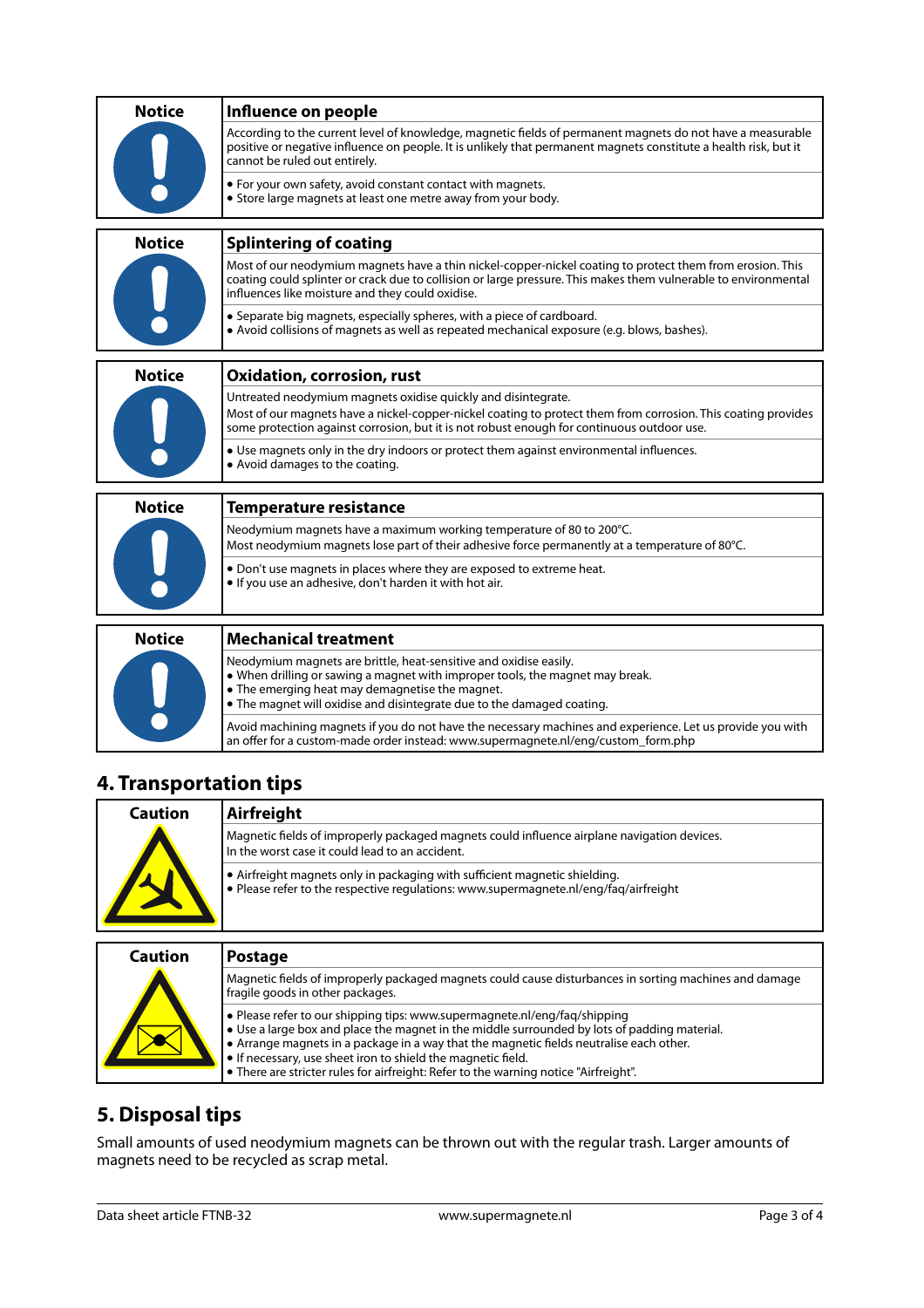| <b>Notice</b> | Influence on people                                                                                                                                                                                                                                                              |
|---------------|----------------------------------------------------------------------------------------------------------------------------------------------------------------------------------------------------------------------------------------------------------------------------------|
|               | According to the current level of knowledge, magnetic fields of permanent magnets do not have a measurable<br>positive or negative influence on people. It is unlikely that permanent magnets constitute a health risk, but it<br>cannot be ruled out entirely.                  |
|               | • For your own safety, avoid constant contact with magnets.<br>• Store large magnets at least one metre away from your body.                                                                                                                                                     |
| <b>Notice</b> | <b>Splintering of coating</b>                                                                                                                                                                                                                                                    |
|               | Most of our neodymium magnets have a thin nickel-copper-nickel coating to protect them from erosion. This<br>coating could splinter or crack due to collision or large pressure. This makes them vulnerable to environmental<br>influences like moisture and they could oxidise. |
|               | • Separate big magnets, especially spheres, with a piece of cardboard.<br>• Avoid collisions of magnets as well as repeated mechanical exposure (e.g. blows, bashes).                                                                                                            |
| <b>Notice</b> | <b>Oxidation, corrosion, rust</b>                                                                                                                                                                                                                                                |
|               | Untreated neodymium magnets oxidise quickly and disintegrate.                                                                                                                                                                                                                    |
|               | Most of our magnets have a nickel-copper-nickel coating to protect them from corrosion. This coating provides<br>some protection against corrosion, but it is not robust enough for continuous outdoor use.                                                                      |
|               | • Use magnets only in the dry indoors or protect them against environmental influences.<br>• Avoid damages to the coating.                                                                                                                                                       |
| <b>Notice</b> | <b>Temperature resistance</b>                                                                                                                                                                                                                                                    |
|               | Neodymium magnets have a maximum working temperature of 80 to 200°C.<br>Most neodymium magnets lose part of their adhesive force permanently at a temperature of 80°C.                                                                                                           |
|               | . Don't use magnets in places where they are exposed to extreme heat.<br>. If you use an adhesive, don't harden it with hot air.                                                                                                                                                 |
| <b>Notice</b> | <b>Mechanical treatment</b>                                                                                                                                                                                                                                                      |
|               | Neodymium magnets are brittle, heat-sensitive and oxidise easily.<br>• When drilling or sawing a magnet with improper tools, the magnet may break.<br>• The emerging heat may demagnetise the magnet.<br>• The magnet will oxidise and disintegrate due to the damaged coating.  |

### **4. Transportation tips**

| Caution | Airfreight                                                                                                                                                         |
|---------|--------------------------------------------------------------------------------------------------------------------------------------------------------------------|
|         | Magnetic fields of improperly packaged magnets could influence airplane navigation devices.<br>In the worst case it could lead to an accident.                     |
|         | • Airfreight magnets only in packaging with sufficient magnetic shielding.<br>• Please refer to the respective regulations: www.supermagnete.nl/eng/fag/airfreight |
| Caution | <b>Postage</b>                                                                                                                                                     |
|         |                                                                                                                                                                    |
|         | Magnetic fields of improperly packaged magnets could cause disturbances in sorting machines and damage<br>fragile goods in other packages.                         |

an offer for a custom-made order instead: [www.supermagnete.nl/eng/custom\\_form.php](http://www.supermagnete.nl/eng/custom_form.php)

Avoid machining magnets if you do not have the necessary machines and experience. Let us provide you with

| l fragile goods in other packages.                                                                                                                                                                                                                                                                                                                                                                                                                                   |
|----------------------------------------------------------------------------------------------------------------------------------------------------------------------------------------------------------------------------------------------------------------------------------------------------------------------------------------------------------------------------------------------------------------------------------------------------------------------|
| $\bullet$ Please refer to our shipping tips: www.supermagnete.nl/eng/fag/shipping<br>$\bullet$ Use a large box and place the magnet in the middle surrounded by lots of padding material.<br>$\bullet$ Arrange magnets in a package in a way that the magnetic fields neutralise each other.<br>$\bullet$ If necessary, use sheet iron to shield the magnetic field.<br>$\bullet$ There are stricter rules for airfreight: Refer to the warning notice "Airfreight". |

# **5. Disposal tips**

Small amounts of used neodymium magnets can be thrown out with the regular trash. Larger amounts of magnets need to be recycled as scrap metal.